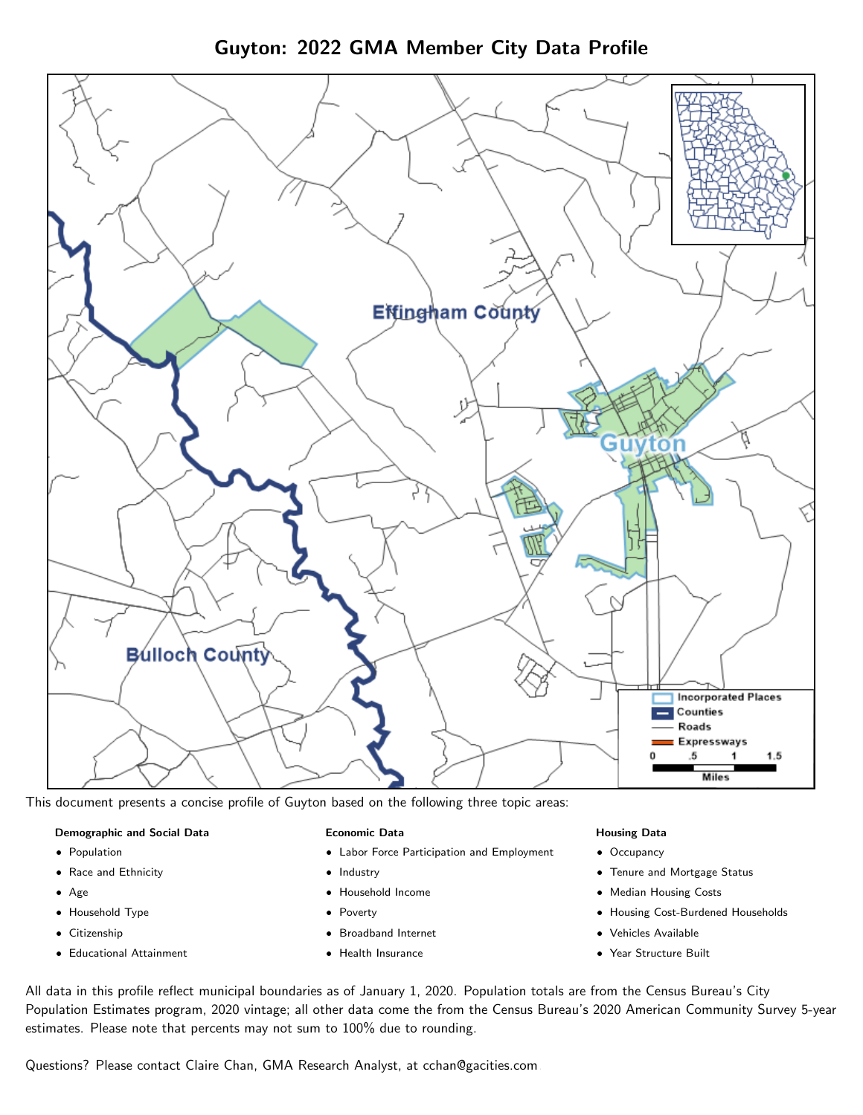Guyton: 2022 GMA Member City Data Profile



This document presents a concise profile of Guyton based on the following three topic areas:

#### Demographic and Social Data

- **•** Population
- Race and Ethnicity
- Age
- Household Type
- **Citizenship**
- Educational Attainment

### Economic Data

- Labor Force Participation and Employment
- Industry
- Household Income
- Poverty
- Broadband Internet
- Health Insurance

#### Housing Data

- Occupancy
- Tenure and Mortgage Status
- Median Housing Costs
- Housing Cost-Burdened Households
- Vehicles Available
- Year Structure Built

All data in this profile reflect municipal boundaries as of January 1, 2020. Population totals are from the Census Bureau's City Population Estimates program, 2020 vintage; all other data come the from the Census Bureau's 2020 American Community Survey 5-year estimates. Please note that percents may not sum to 100% due to rounding.

Questions? Please contact Claire Chan, GMA Research Analyst, at [cchan@gacities.com.](mailto:cchan@gacities.com)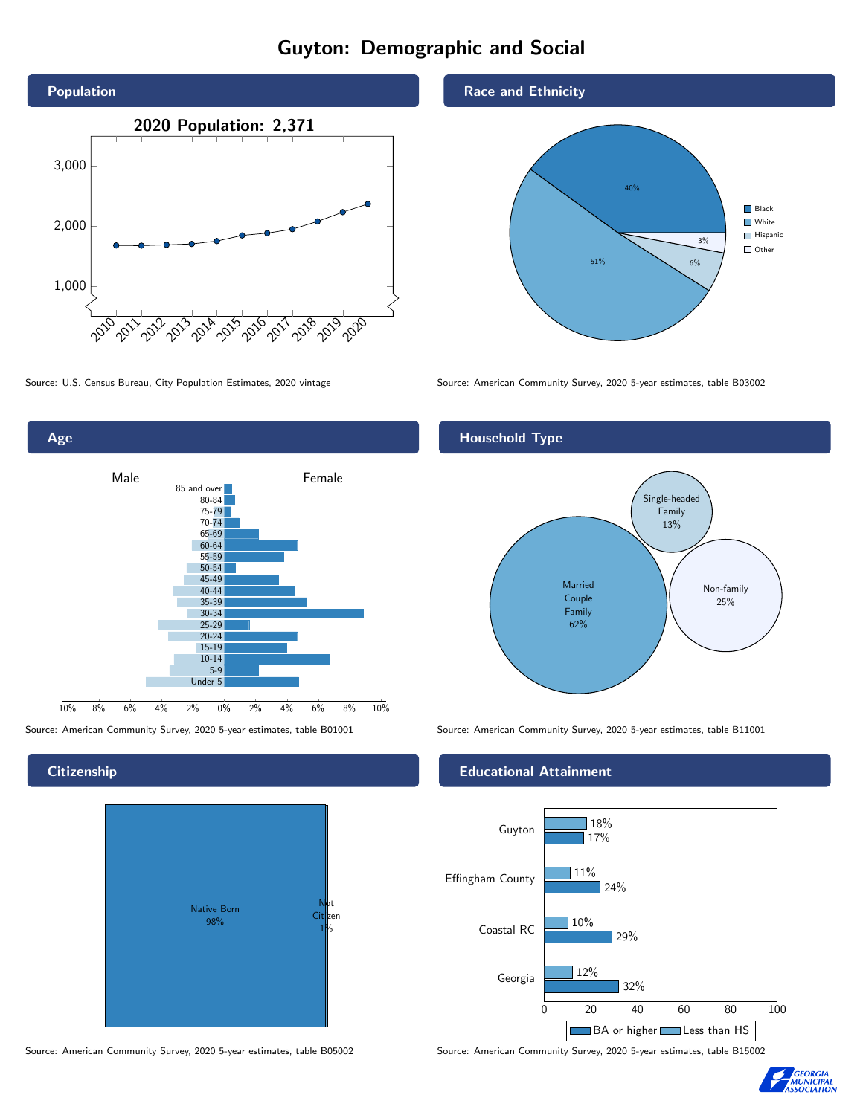# Guyton: Demographic and Social





**Citizenship** 



Source: American Community Survey, 2020 5-year estimates, table B05002 Source: American Community Survey, 2020 5-year estimates, table B15002

### Race and Ethnicity



Source: U.S. Census Bureau, City Population Estimates, 2020 vintage Source: American Community Survey, 2020 5-year estimates, table B03002

## Household Type



Source: American Community Survey, 2020 5-year estimates, table B01001 Source: American Community Survey, 2020 5-year estimates, table B11001

### Educational Attainment



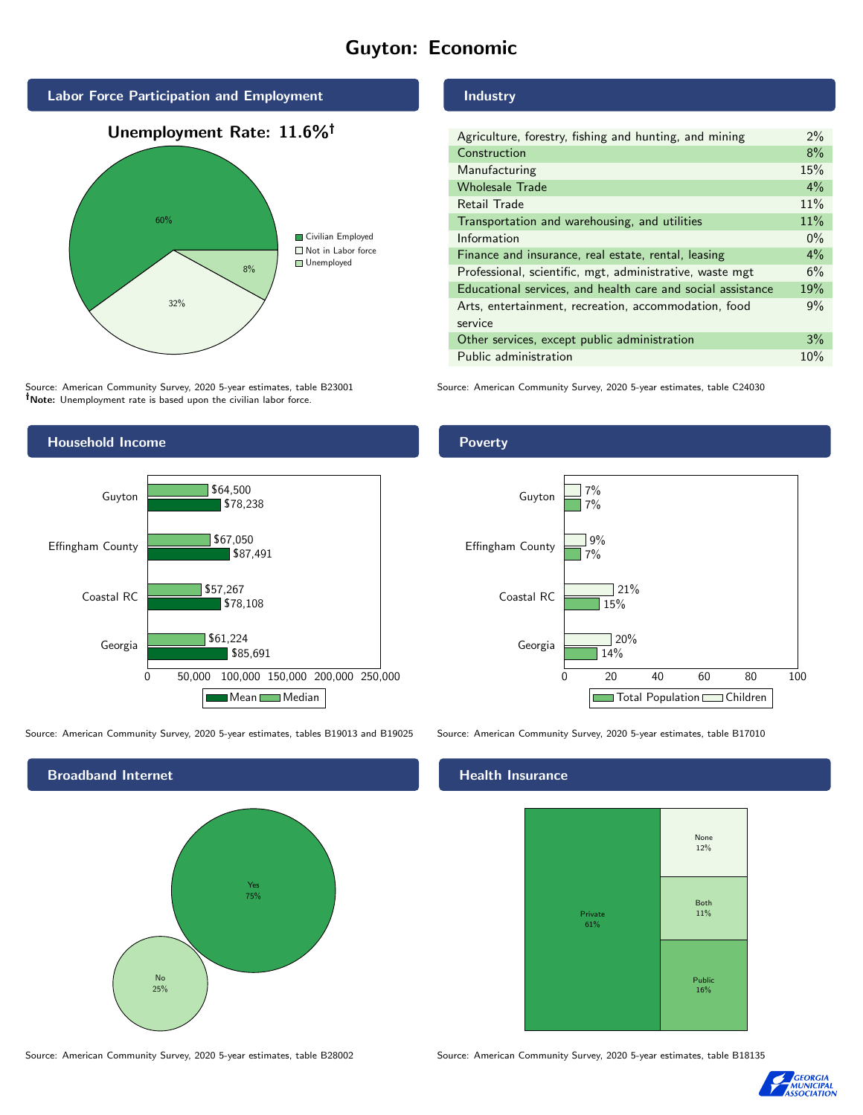# Guyton: Economic



Source: American Community Survey, 2020 5-year estimates, table B23001 Note: Unemployment rate is based upon the civilian labor force.



Source: American Community Survey, 2020 5-year estimates, tables B19013 and B19025 Source: American Community Survey, 2020 5-year estimates, table B17010

Broadband Internet No 25% Yes 75%

Source: American Community Survey, 2020 5-year estimates, table B28002 Source: American Community Survey, 2020 5-year estimates, table B18135

Industry

| Agriculture, forestry, fishing and hunting, and mining      | 2%    |
|-------------------------------------------------------------|-------|
| Construction                                                | 8%    |
| Manufacturing                                               | 15%   |
| <b>Wholesale Trade</b>                                      | $4\%$ |
| Retail Trade                                                | 11%   |
| Transportation and warehousing, and utilities               | 11%   |
| Information                                                 | $0\%$ |
| Finance and insurance, real estate, rental, leasing         | 4%    |
| Professional, scientific, mgt, administrative, waste mgt    | 6%    |
| Educational services, and health care and social assistance | 19%   |
| Arts, entertainment, recreation, accommodation, food        | 9%    |
| service                                                     |       |
| Other services, except public administration                | 3%    |
| Public administration                                       | 10%   |

Source: American Community Survey, 2020 5-year estimates, table C24030



#### Health Insurance